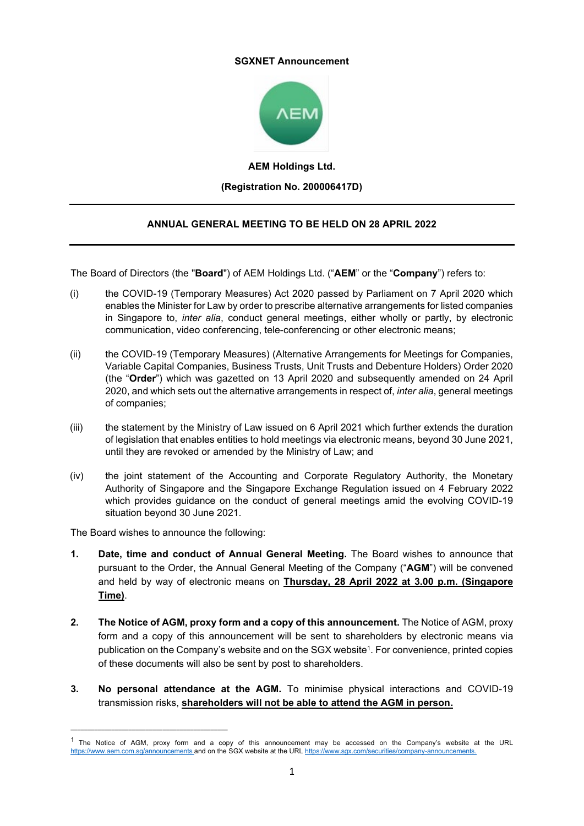## **SGXNET Announcement**



**AEM Holdings Ltd. (Registration No. 200006417D)**

## **ANNUAL GENERAL MEETING TO BE HELD ON 28 APRIL 2022**

The Board of Directors (the "**Board**") of AEM Holdings Ltd. ("**AEM**" or the "**Company**") refers to:

- (i) the COVID-19 (Temporary Measures) Act 2020 passed by Parliament on 7 April 2020 which enables the Minister for Law by order to prescribe alternative arrangements for listed companies in Singapore to, *inter alia*, conduct general meetings, either wholly or partly, by electronic communication, video conferencing, tele-conferencing or other electronic means;
- (ii) the COVID-19 (Temporary Measures) (Alternative Arrangements for Meetings for Companies, Variable Capital Companies, Business Trusts, Unit Trusts and Debenture Holders) Order 2020 (the "**Order**") which was gazetted on 13 April 2020 and subsequently amended on 24 April 2020, and which sets out the alternative arrangements in respect of, *inter alia*, general meetings of companies;
- (iii) the statement by the Ministry of Law issued on 6 April 2021 which further extends the duration of legislation that enables entities to hold meetings via electronic means, beyond 30 June 2021, until they are revoked or amended by the Ministry of Law; and
- (iv) the joint statement of the Accounting and Corporate Regulatory Authority, the Monetary Authority of Singapore and the Singapore Exchange Regulation issued on 4 February 2022 which provides guidance on the conduct of general meetings amid the evolving COVID-19 situation beyond 30 June 2021.

The Board wishes to announce the following:

\_\_\_\_\_\_\_\_\_\_\_\_\_\_\_\_\_\_\_\_\_\_\_\_\_\_\_\_\_\_\_\_\_\_\_\_\_\_\_\_\_\_\_\_\_\_

- **1. Date, time and conduct of Annual General Meeting.** The Board wishes to announce that pursuant to the Order, the Annual General Meeting of the Company ("**AGM**") will be convened and held by way of electronic means on **Thursday, 28 April 2022 at 3.00 p.m. (Singapore Time)**.
- **2. The Notice of AGM, proxy form and a copy of this announcement.** The Notice of AGM, proxy form and a copy of this announcement will be sent to shareholders by electronic means via publication on the Company's website and on the SGX website1. For convenience, printed copies of these documents will also be sent by post to shareholders.
- **3. No personal attendance at the AGM.** To minimise physical interactions and COVID-19 transmission risks, **shareholders will not be able to attend the AGM in person.**

<sup>&</sup>lt;sup>1</sup> The Notice of AGM, proxy form and a copy of this announcement may be accessed on the Company's website at the URL <https://www.aem.com.sg/announcements> and on the SGX website at the UR[L https://www.sgx.com/securities/company-announcements.](https://www.sgx.com/securities/company-announcements)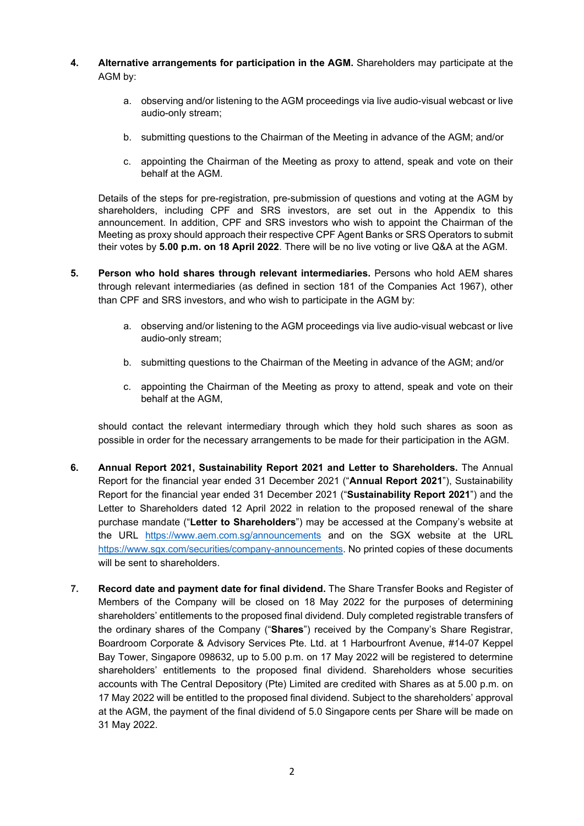- **4. Alternative arrangements for participation in the AGM.** Shareholders may participate at the AGM by:
	- a. observing and/or listening to the AGM proceedings via live audio-visual webcast or live audio-only stream;
	- b. submitting questions to the Chairman of the Meeting in advance of the AGM; and/or
	- c. appointing the Chairman of the Meeting as proxy to attend, speak and vote on their behalf at the AGM.

Details of the steps for pre-registration, pre-submission of questions and voting at the AGM by shareholders, including CPF and SRS investors, are set out in the Appendix to this announcement. In addition, CPF and SRS investors who wish to appoint the Chairman of the Meeting as proxy should approach their respective CPF Agent Banks or SRS Operators to submit their votes by **5.00 p.m. on 18 April 2022**. There will be no live voting or live Q&A at the AGM.

- **5. Person who hold shares through relevant intermediaries.** Persons who hold AEM shares through relevant intermediaries (as defined in section 181 of the Companies Act 1967), other than CPF and SRS investors, and who wish to participate in the AGM by:
	- a. observing and/or listening to the AGM proceedings via live audio-visual webcast or live audio-only stream;
	- b. submitting questions to the Chairman of the Meeting in advance of the AGM; and/or
	- c. appointing the Chairman of the Meeting as proxy to attend, speak and vote on their behalf at the AGM,

should contact the relevant intermediary through which they hold such shares as soon as possible in order for the necessary arrangements to be made for their participation in the AGM.

- **6. Annual Report 2021, Sustainability Report 2021 and Letter to Shareholders.** The Annual Report for the financial year ended 31 December 2021 ("**Annual Report 2021**"), Sustainability Report for the financial year ended 31 December 2021 ("**Sustainability Report 2021**") and the Letter to Shareholders dated 12 April 2022 in relation to the proposed renewal of the share purchase mandate ("**Letter to Shareholders**") may be accessed at the Company's website at the URL <https://www.aem.com.sg/announcements> and on the SGX website at the URL [https://www.sgx.com/securities/company-announcements.](https://www.sgx.com/securities/company-announcements) No printed copies of these documents will be sent to shareholders.
- **7. Record date and payment date for final dividend.** The Share Transfer Books and Register of Members of the Company will be closed on 18 May 2022 for the purposes of determining shareholders' entitlements to the proposed final dividend. Duly completed registrable transfers of the ordinary shares of the Company ("**Shares**") received by the Company's Share Registrar, Boardroom Corporate & Advisory Services Pte. Ltd. at 1 Harbourfront Avenue, #14-07 Keppel Bay Tower, Singapore 098632, up to 5.00 p.m. on 17 May 2022 will be registered to determine shareholders' entitlements to the proposed final dividend. Shareholders whose securities accounts with The Central Depository (Pte) Limited are credited with Shares as at 5.00 p.m. on 17 May 2022 will be entitled to the proposed final dividend. Subject to the shareholders' approval at the AGM, the payment of the final dividend of 5.0 Singapore cents per Share will be made on 31 May 2022.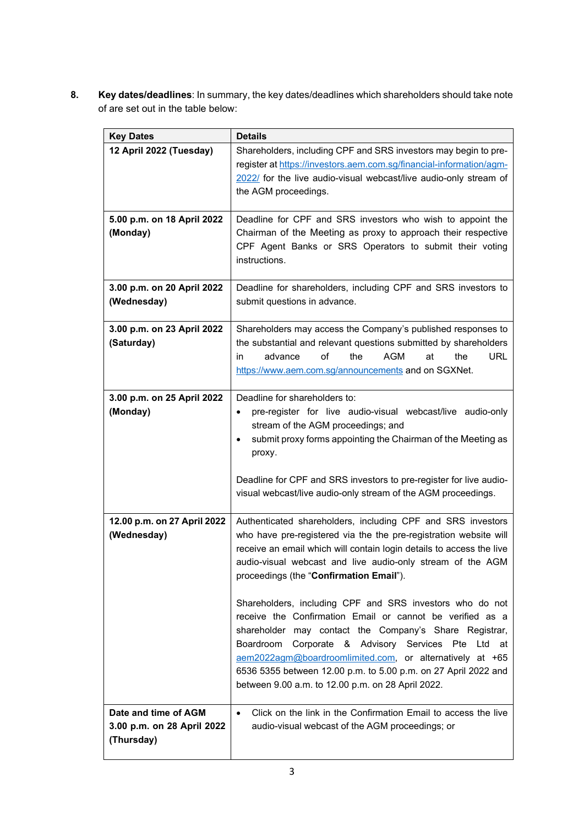**8. Key dates/deadlines**: In summary, the key dates/deadlines which shareholders should take note of are set out in the table below:

| <b>Key Dates</b>                                                 | <b>Details</b>                                                                                                                                                                                                                                                                                                                                                                                                                                                                                                                                                                                                                                                                                                                                |
|------------------------------------------------------------------|-----------------------------------------------------------------------------------------------------------------------------------------------------------------------------------------------------------------------------------------------------------------------------------------------------------------------------------------------------------------------------------------------------------------------------------------------------------------------------------------------------------------------------------------------------------------------------------------------------------------------------------------------------------------------------------------------------------------------------------------------|
| 12 April 2022 (Tuesday)                                          | Shareholders, including CPF and SRS investors may begin to pre-<br>register at https://investors.aem.com.sg/financial-information/agm-<br>2022/ for the live audio-visual webcast/live audio-only stream of<br>the AGM proceedings.                                                                                                                                                                                                                                                                                                                                                                                                                                                                                                           |
| 5.00 p.m. on 18 April 2022<br>(Monday)                           | Deadline for CPF and SRS investors who wish to appoint the<br>Chairman of the Meeting as proxy to approach their respective<br>CPF Agent Banks or SRS Operators to submit their voting<br>instructions.                                                                                                                                                                                                                                                                                                                                                                                                                                                                                                                                       |
| 3.00 p.m. on 20 April 2022<br>(Wednesday)                        | Deadline for shareholders, including CPF and SRS investors to<br>submit questions in advance.                                                                                                                                                                                                                                                                                                                                                                                                                                                                                                                                                                                                                                                 |
| 3.00 p.m. on 23 April 2022<br>(Saturday)                         | Shareholders may access the Company's published responses to<br>the substantial and relevant questions submitted by shareholders<br>of<br><b>URL</b><br>advance<br>the<br>AGM<br>the<br>in<br>at<br>https://www.aem.com.sg/announcements and on SGXNet.                                                                                                                                                                                                                                                                                                                                                                                                                                                                                       |
| 3.00 p.m. on 25 April 2022<br>(Monday)                           | Deadline for shareholders to:<br>pre-register for live audio-visual webcast/live audio-only<br>$\bullet$<br>stream of the AGM proceedings; and<br>submit proxy forms appointing the Chairman of the Meeting as<br>proxy.<br>Deadline for CPF and SRS investors to pre-register for live audio-<br>visual webcast/live audio-only stream of the AGM proceedings.                                                                                                                                                                                                                                                                                                                                                                               |
| 12.00 p.m. on 27 April 2022<br>(Wednesday)                       | Authenticated shareholders, including CPF and SRS investors<br>who have pre-registered via the the pre-registration website will<br>receive an email which will contain login details to access the live<br>audio-visual webcast and live audio-only stream of the AGM<br>proceedings (the "Confirmation Email").<br>Shareholders, including CPF and SRS investors who do not<br>receive the Confirmation Email or cannot be verified as a<br>shareholder may contact the Company's Share Registrar,<br>Boardroom Corporate & Advisory Services Pte Ltd at<br>aem2022agm@boardroomlimited.com, or alternatively at +65<br>6536 5355 between 12.00 p.m. to 5.00 p.m. on 27 April 2022 and<br>between 9.00 a.m. to 12.00 p.m. on 28 April 2022. |
| Date and time of AGM<br>3.00 p.m. on 28 April 2022<br>(Thursday) | Click on the link in the Confirmation Email to access the live<br>$\bullet$<br>audio-visual webcast of the AGM proceedings; or                                                                                                                                                                                                                                                                                                                                                                                                                                                                                                                                                                                                                |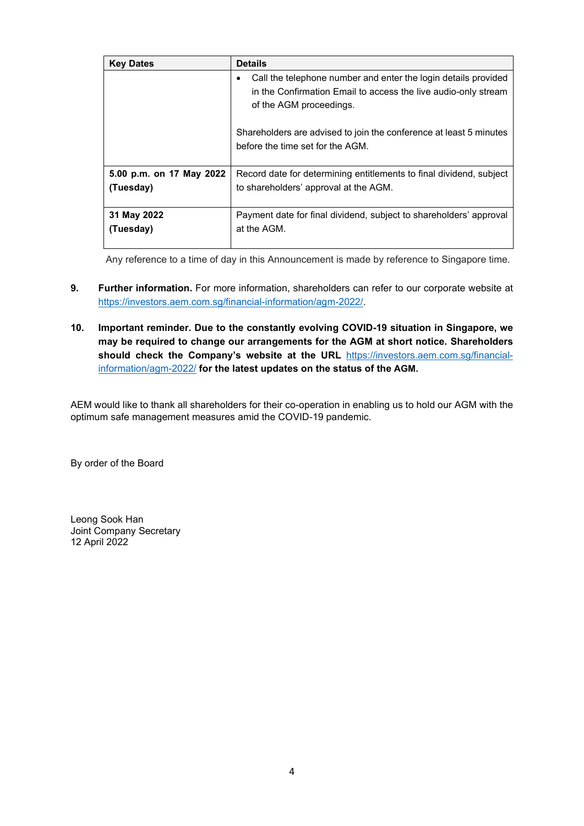| <b>Key Dates</b>         | <b>Details</b>                                                                                                                                              |
|--------------------------|-------------------------------------------------------------------------------------------------------------------------------------------------------------|
|                          | Call the telephone number and enter the login details provided<br>in the Confirmation Email to access the live audio-only stream<br>of the AGM proceedings. |
|                          | Shareholders are advised to join the conference at least 5 minutes<br>before the time set for the AGM.                                                      |
| 5.00 p.m. on 17 May 2022 | Record date for determining entitlements to final dividend, subject                                                                                         |
| (Tuesday)                | to shareholders' approval at the AGM.                                                                                                                       |
| 31 May 2022              | Payment date for final dividend, subject to shareholders' approval                                                                                          |
| (Tuesday)                | at the AGM.                                                                                                                                                 |

Any reference to a time of day in this Announcement is made by reference to Singapore time.

- **9. Further information.** For more information, shareholders can refer to our corporate website at [https://investors.aem.com.sg/financial-information/agm-2022/.](https://investors.aem.com.sg/financial-information/agm-2022/)
- **10. Important reminder. Due to the constantly evolving COVID-19 situation in Singapore, we may be required to change our arrangements for the AGM at short notice. Shareholders should check the Company's website at the URL** [https://investors.aem.com.sg/financial](https://investors.aem.com.sg/financial-information/agm-2022/)[information/agm-2022/](https://investors.aem.com.sg/financial-information/agm-2022/) **for the latest updates on the status of the AGM.**

AEM would like to thank all shareholders for their co-operation in enabling us to hold our AGM with the optimum safe management measures amid the COVID-19 pandemic.

By order of the Board

Leong Sook Han Joint Company Secretary 12 April 2022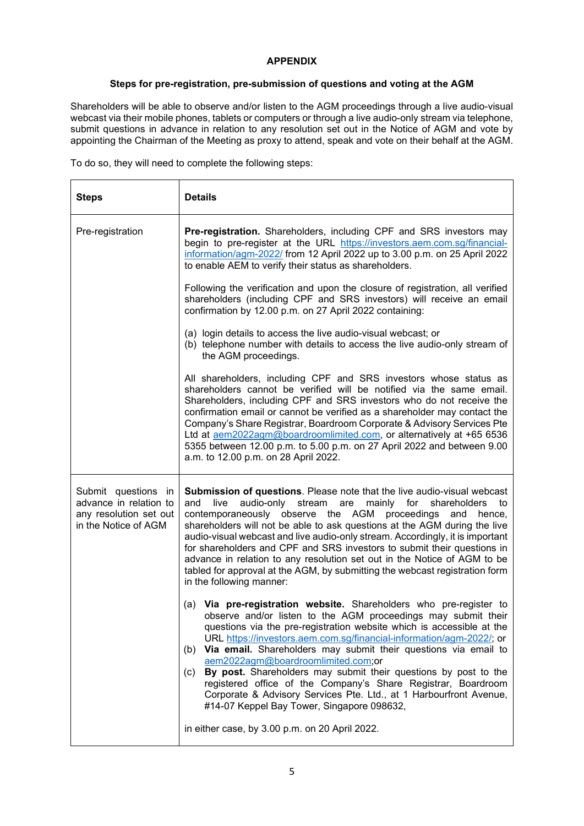## **APPENDIX**

## **Steps for pre-registration, pre-submission of questions and voting at the AGM**

Shareholders will be able to observe and/or listen to the AGM proceedings through a live audio-visual webcast via their mobile phones, tablets or computers or through a live audio-only stream via telephone, submit questions in advance in relation to any resolution set out in the Notice of AGM and vote by appointing the Chairman of the Meeting as proxy to attend, speak and vote on their behalf at the AGM.

To do so, they will need to complete the following steps:

| <b>Steps</b>                                                                                    | <b>Details</b>                                                                                                                                                                                                                                                                                                                                                                                                                                                                                                                                                                                                                                                         |  |
|-------------------------------------------------------------------------------------------------|------------------------------------------------------------------------------------------------------------------------------------------------------------------------------------------------------------------------------------------------------------------------------------------------------------------------------------------------------------------------------------------------------------------------------------------------------------------------------------------------------------------------------------------------------------------------------------------------------------------------------------------------------------------------|--|
| Pre-registration                                                                                | Pre-registration. Shareholders, including CPF and SRS investors may<br>begin to pre-register at the URL https://investors.aem.com.sg/financial-<br>information/agm-2022/ from 12 April 2022 up to 3.00 p.m. on 25 April 2022<br>to enable AEM to verify their status as shareholders.                                                                                                                                                                                                                                                                                                                                                                                  |  |
|                                                                                                 | Following the verification and upon the closure of registration, all verified<br>shareholders (including CPF and SRS investors) will receive an email<br>confirmation by 12.00 p.m. on 27 April 2022 containing:                                                                                                                                                                                                                                                                                                                                                                                                                                                       |  |
|                                                                                                 | (a) login details to access the live audio-visual webcast; or<br>(b) telephone number with details to access the live audio-only stream of<br>the AGM proceedings.                                                                                                                                                                                                                                                                                                                                                                                                                                                                                                     |  |
|                                                                                                 | All shareholders, including CPF and SRS investors whose status as<br>shareholders cannot be verified will be notified via the same email.<br>Shareholders, including CPF and SRS investors who do not receive the<br>confirmation email or cannot be verified as a shareholder may contact the<br>Company's Share Registrar, Boardroom Corporate & Advisory Services Pte<br>Ltd at aem2022agm@boardroomlimited.com, or alternatively at +65 6536<br>5355 between 12.00 p.m. to 5.00 p.m. on 27 April 2022 and between 9.00<br>a.m. to 12.00 p.m. on 28 April 2022.                                                                                                     |  |
| Submit questions in<br>advance in relation to<br>any resolution set out<br>in the Notice of AGM | Submission of questions. Please note that the live audio-visual webcast<br>audio-only stream are mainly for shareholders<br>and<br>live<br>to<br>contemporaneously observe the AGM proceedings<br>and<br>hence,<br>shareholders will not be able to ask questions at the AGM during the live<br>audio-visual webcast and live audio-only stream. Accordingly, it is important<br>for shareholders and CPF and SRS investors to submit their questions in<br>advance in relation to any resolution set out in the Notice of AGM to be<br>tabled for approval at the AGM, by submitting the webcast registration form<br>in the following manner:                        |  |
|                                                                                                 | Via pre-registration website. Shareholders who pre-register to<br>(a)<br>observe and/or listen to the AGM proceedings may submit their<br>questions via the pre-registration website which is accessible at the<br>URL https://investors.aem.com.sg/financial-information/agm-2022/; or<br>Via email. Shareholders may submit their questions via email to<br>(b)<br>aem2022agm@boardroomlimited.com;or<br>By post. Shareholders may submit their questions by post to the<br>(c)<br>registered office of the Company's Share Registrar, Boardroom<br>Corporate & Advisory Services Pte. Ltd., at 1 Harbourfront Avenue,<br>#14-07 Keppel Bay Tower, Singapore 098632, |  |
|                                                                                                 | in either case, by 3.00 p.m. on 20 April 2022.                                                                                                                                                                                                                                                                                                                                                                                                                                                                                                                                                                                                                         |  |